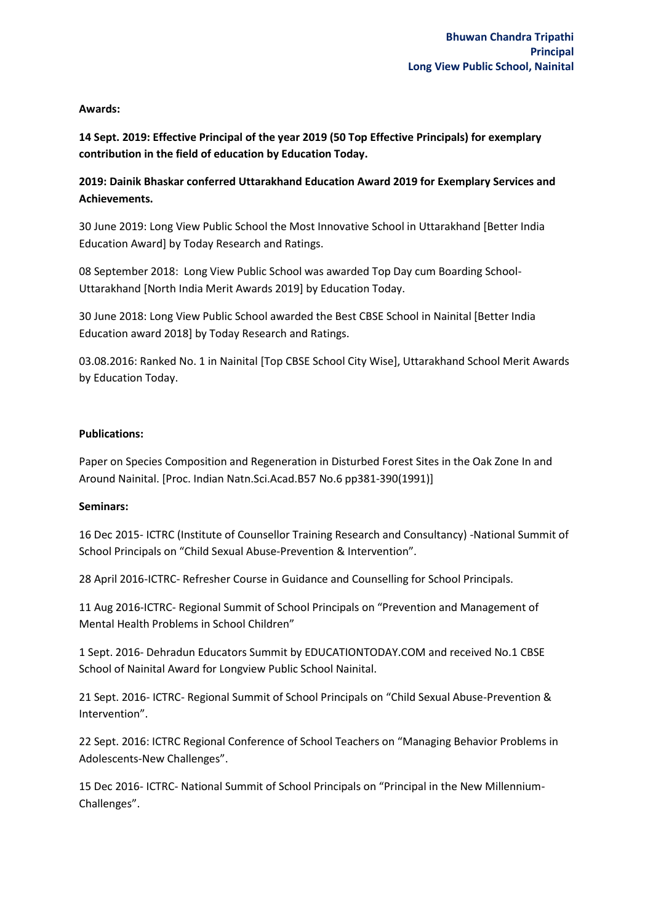## **Awards:**

**14 Sept. 2019: Effective Principal of the year 2019 (50 Top Effective Principals) for exemplary contribution in the field of education by Education Today.** 

## **2019: Dainik Bhaskar conferred Uttarakhand Education Award 2019 for Exemplary Services and Achievements.**

30 June 2019: Long View Public School the Most Innovative School in Uttarakhand [Better India Education Award] by Today Research and Ratings.

08 September 2018: Long View Public School was awarded Top Day cum Boarding School-Uttarakhand [North India Merit Awards 2019] by Education Today.

30 June 2018: Long View Public School awarded the Best CBSE School in Nainital [Better India Education award 2018] by Today Research and Ratings.

03.08.2016: Ranked No. 1 in Nainital [Top CBSE School City Wise], Uttarakhand School Merit Awards by Education Today.

## **Publications:**

Paper on Species Composition and Regeneration in Disturbed Forest Sites in the Oak Zone In and Around Nainital. [Proc. Indian Natn.Sci.Acad.B57 No.6 pp381-390(1991)]

## **Seminars:**

16 Dec 2015- ICTRC (Institute of Counsellor Training Research and Consultancy) -National Summit of School Principals on "Child Sexual Abuse-Prevention & Intervention".

28 April 2016-ICTRC- Refresher Course in Guidance and Counselling for School Principals.

11 Aug 2016-ICTRC- Regional Summit of School Principals on "Prevention and Management of Mental Health Problems in School Children"

1 Sept. 2016- Dehradun Educators Summit by EDUCATIONTODAY.COM and received No.1 CBSE School of Nainital Award for Longview Public School Nainital.

21 Sept. 2016- ICTRC- Regional Summit of School Principals on "Child Sexual Abuse-Prevention & Intervention".

22 Sept. 2016: ICTRC Regional Conference of School Teachers on "Managing Behavior Problems in Adolescents-New Challenges".

15 Dec 2016- ICTRC- National Summit of School Principals on "Principal in the New Millennium-Challenges".